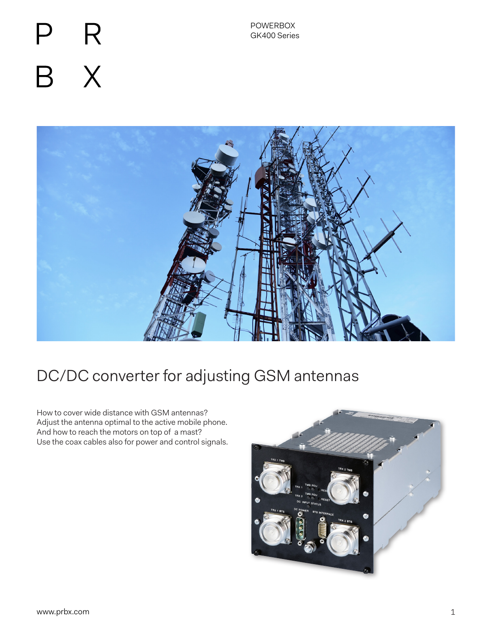# R  $\mathsf{X}$  $\mathsf B$



# DC/DC converter for adjusting GSM antennas

How to cover wide distance with GSM antennas? Adjust the antenna optimal to the active mobile phone. And how to reach the motors on top of a mast? Use the coax cables also for power and control signals.